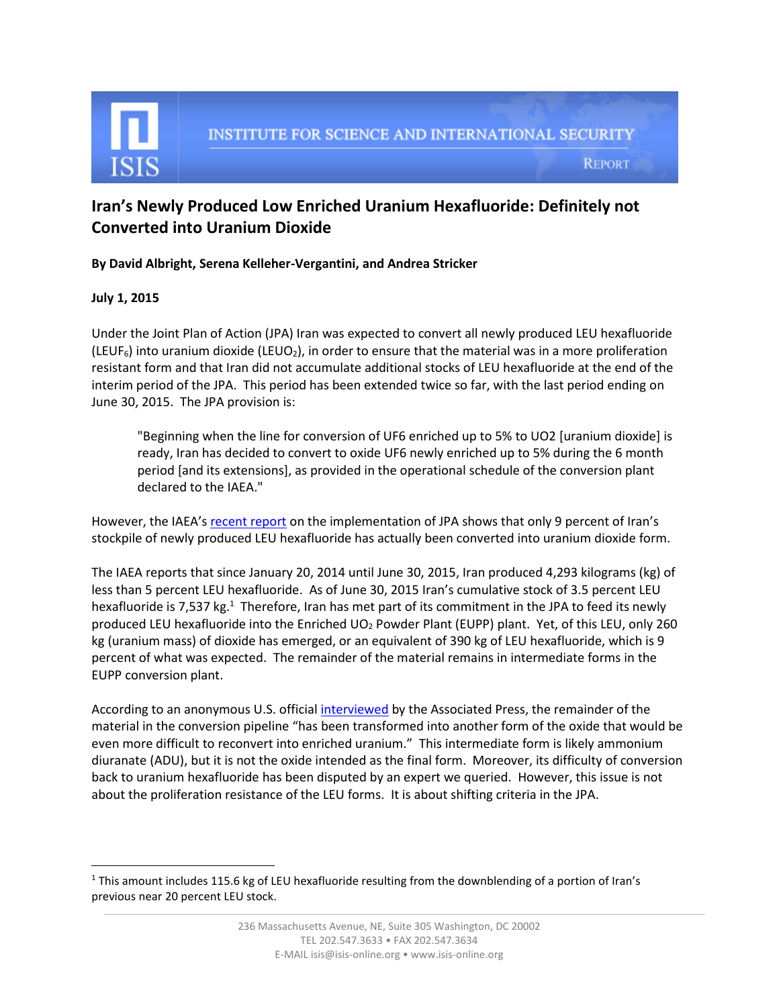

## **Iran's Newly Produced Low Enriched Uranium Hexafluoride: Definitely not Converted into Uranium Dioxide**

**By David Albright, Serena Kelleher-Vergantini, and Andrea Stricker**

## **July 1, 2015**

 $\overline{\phantom{a}}$ 

Under the Joint Plan of Action (JPA) Iran was expected to convert all newly produced LEU hexafluoride (LEUF<sub>6</sub>) into uranium dioxide (LEUO<sub>2</sub>), in order to ensure that the material was in a more proliferation resistant form and that Iran did not accumulate additional stocks of LEU hexafluoride at the end of the interim period of the JPA. This period has been extended twice so far, with the last period ending on June 30, 2015. The JPA provision is:

"Beginning when the line for conversion of UF6 enriched up to 5% to UO2 [uranium dioxide] is ready, Iran has decided to convert to oxide UF6 newly enriched up to 5% during the 6 month period [and its extensions], as provided in the operational schedule of the conversion plant declared to the IAEA."

However, the IAEA's [recent report](http://isis-online.org/uploads/isis-reports/documents/gov-inf-2015-12.pdf) on the implementation of JPA shows that only 9 percent of Iran's stockpile of newly produced LEU hexafluoride has actually been converted into uranium dioxide form.

The IAEA reports that since January 20, 2014 until June 30, 2015, Iran produced 4,293 kilograms (kg) of less than 5 percent LEU hexafluoride. As of June 30, 2015 Iran's cumulative stock of 3.5 percent LEU hexafluoride is 7,537 kg.<sup>1</sup> Therefore, Iran has met part of its commitment in the JPA to feed its newly produced LEU hexafluoride into the Enriched UO<sub>2</sub> Powder Plant (EUPP) plant. Yet, of this LEU, only 260 kg (uranium mass) of dioxide has emerged, or an equivalent of 390 kg of LEU hexafluoride, which is 9 percent of what was expected. The remainder of the material remains in intermediate forms in the EUPP conversion plant.

According to an anonymous U.S. official [interviewed](http://www.nytimes.com/aponline/2015/07/01/world/middleeast/ap-iran-nuclear-talks.html) by the Associated Press, the remainder of the material in the conversion pipeline "has been transformed into another form of the oxide that would be even more difficult to reconvert into enriched uranium." This intermediate form is likely ammonium diuranate (ADU), but it is not the oxide intended as the final form. Moreover, its difficulty of conversion back to uranium hexafluoride has been disputed by an expert we queried. However, this issue is not about the proliferation resistance of the LEU forms. It is about shifting criteria in the JPA.

 $1$  This amount includes 115.6 kg of LEU hexafluoride resulting from the downblending of a portion of Iran's previous near 20 percent LEU stock.